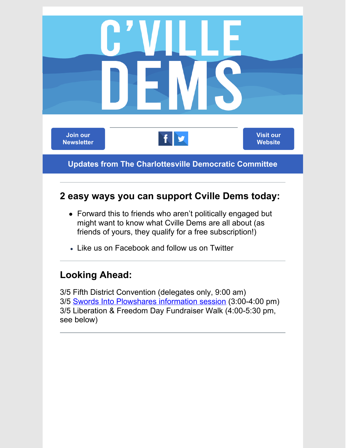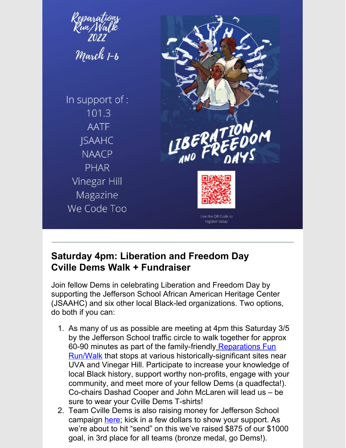

### **Saturday 4pm: Liberation and Freedom Day Cville Dems Walk + Fundraiser**

Join fellow Dems in celebrating Liberation and Freedom Day by supporting the Jefferson School African American Heritage Center (JSAAHC) and six other local Black-led organizations. Two options, do both if you can:

- 1. As many of us as possible are meeting at 4pm this Saturday 3/5 by the Jefferson School traffic circle to walk together for approx 60-90 minutes as part of the family-friendl[y](https://runsignup.com/Race/Donate/VA/Charlottesville/LiberationandFreedomDaysReparation6mileRunWalk) Reparations Fun Run/Walk that stops at various [historically-significant](https://runsignup.com/Race/Donate/VA/Charlottesville/LiberationandFreedomDaysReparation6mileRunWalk) sites near UVA and Vinegar Hill. Participate to increase your knowledge of local Black history, support worthy non-profits, engage with your community, and meet more of your fellow Dems (a quadfecta!). Co-chairs Dashad Cooper and John McLaren will lead us – be sure to wear your Cville Dems T-shirts!
- 2. Team Cville Dems is also raising money for Jefferson School campaign [here](https://runsignup.com/Race/106316/Donate/N4TSo6HpZfg1SYaz); kick in a few dollars to show your support. As we're about to hit "send" on this we've raised \$875 of our \$1000 goal, in 3rd place for all teams (bronze medal, go Dems!).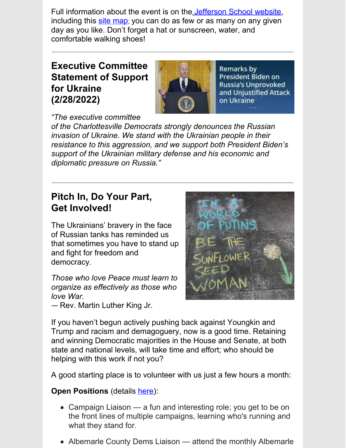Full information about the event is on th[e](https://jeffschoolheritagecenter.app.neoncrm.com/np/clients/jeffschoolheritagecenter/event.jsp?event=1&) [Jefferson](https://jeffschoolheritagecenter.app.neoncrm.com/np/clients/jeffschoolheritagecenter/event.jsp?event=1&) School website, including this site [map](https://indd.adobe.com/view/5b74595c-e37e-488c-bf20-0ab4e8fbf346); you can do as few or as many on any given day as you like. Don't forget a hat or sunscreen, water, and comfortable walking shoes!

**Executive Committee Statement of Support for Ukraine (2/28/2022)**



Remarks by President Biden on **Russia's Unprovoked** and Unjustified Attack on Ukraine

*"The executive committee*

*of the Charlottesville Democrats strongly denounces the Russian invasion of Ukraine. We stand with the Ukrainian people in their resistance to this aggression, and we support both President Biden's support of the Ukrainian military defense and his economic and diplomatic pressure on Russia."*

## **Pitch In, Do Your Part, Get Involved!**

The Ukrainians' bravery in the face of Russian tanks has reminded us that sometimes you have to stand up and fight for freedom and democracy.

*Those who love Peace must learn to organize as effectively as those who love War.* — Rev. Martin Luther King Jr.



If you haven't begun actively pushing back against Youngkin and Trump and racism and demagoguery, now is a good time. Retaining and winning Democratic majorities in the House and Senate, at both state and national levels, will take time and effort; who should be helping with this work if not you?

A good starting place is to volunteer with us just a few hours a month:

### **Open Positions** (details [here](https://cvilledems.org/volunteer-opportunities/open-positions)):

- Campaign Liaison a fun and interesting role; you get to be on the front lines of multiple campaigns, learning who's running and what they stand for.
- Albemarle County Dems Liaison attend the monthly Albemarle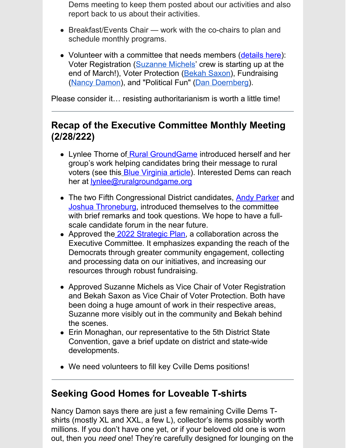Dems meeting to keep them posted about our activities and also report back to us about their activities.

- Breakfast/Events Chair work with the co-chairs to plan and schedule monthly programs.
- Volunteer with a committee that needs members [\(details](https://cvilledems.org/volunteer-opportunities/committees-that-need-members) here): Voter Registration [\(Suzanne](mailto:suzemichels@gmail.com) Michels' crew is starting up at the end of March!), Voter Protection [\(Bekah](mailto:bekah.saxon@gmail.com) Saxon), Fundraising (Nancy [Damon](mailto:nancycdamon@gmail.com)), and "Political Fun" (Dan [Doernberg](mailto:communications@cvilledems.org)).

Please consider it… resisting authoritarianism is worth a little time!

## **Recap of the Executive Committee Monthly Meeting (2/28/222)**

- Lynlee Thorne o[f](https://www.ruralgroundgame.org) Rural [GroundGame](https://www.ruralgroundgame.org) introduced herself and her group's work helping candidates bring their message to rural voters (see this **[B](https://bluevirginia.us/2022/02/from-scarcity-to-abundance-reframing-the-narrative-for-democrats-in-rural-communities)lue [Virginia](https://bluevirginia.us/2022/02/from-scarcity-to-abundance-reframing-the-narrative-for-democrats-in-rural-communities) article**). Interested Dems can reach her at [lynlee@ruralgroundgame.org](mailto:lynlee@ruralgroundgame.org)
- The two Fifth Congressional District candidates, Andy [Parker](https://andyparkerforcongress.com/home.html) and Joshua [Throneburg](https://joshforvirginia.com/), introduced themselves to the committee with brief remarks and took questions. We hope to have a fullscale candid[at](https://cvilledems.org/wp-content/uploads/2022/03/CvilleDems_StrategicPlan_2022.pdf)e forum in the near future.
- Approved the 2022 [Strategic](https://cvilledems.org/wp-content/uploads/2022/03/CvilleDems_StrategicPlan_2022.pdf) Plan, a collaboration across the Executive Committee. It emphasizes expanding the reach of the Democrats through greater community engagement, collecting and processing data on our initiatives, and increasing our resources through robust fundraising.
- Approved Suzanne Michels as Vice Chair of Voter Registration and Bekah Saxon as Vice Chair of Voter Protection. Both have been doing a huge amount of work in their respective areas, Suzanne more visibly out in the community and Bekah behind the scenes.
- Erin Monaghan, our representative to the 5th District State Convention, gave a brief update on district and state-wide developments.
- We need volunteers to fill key Cville Dems positions!

## **Seeking Good Homes for Loveable T-shirts**

Nancy Damon says there are just a few remaining Cville Dems Tshirts (mostly XL and XXL, a few L), collector's items possibly worth millions. If you don't have one yet, or if your beloved old one is worn out, then you *need* one! They're carefully designed for lounging on the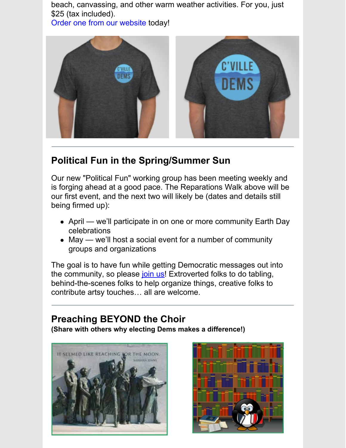beach, canvassing, and other warm weather activities. For you, just \$25 (tax included).

Order one from our [website](https://secure.actblue.com/donate/cvilledemsmerch#) today!



## **Political Fun in the Spring/Summer Sun**

Our new "Political Fun" working group has been meeting weekly and is forging ahead at a good pace. The Reparations Walk above will be our first event, and the next two will likely be (dates and details still being firmed up):

- April we'll participate in on one or more community Earth Day celebrations
- May we'll host a social event for a number of community groups and organizations

The goal is to have fun while getting Democratic messages out into the community, so please [join](mailto:communications@cvilledems.org) us! Extroverted folks to do tabling, behind-the-scenes folks to help organize things, creative folks to contribute artsy touches… all are welcome.

# **Preaching BEYOND the Choir**

**(Share with others why electing Dems makes a difference!)**



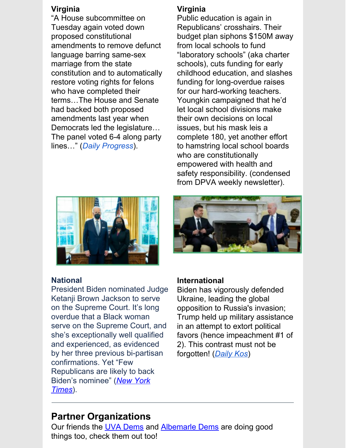#### **Virginia**

"A House subcommittee on Tuesday again voted down proposed constitutional amendments to remove defunct language barring same-sex marriage from the state constitution and to automatically restore voting rights for felons who have completed their terms…The House and Senate had backed both proposed amendments last year when Democrats led the legislature… The panel voted 6-4 along party lines…" (*Daily [Progress](https://dailyprogress.com/news/state-and-regional/house-finalizes-rejection-of-proposed-constitutional-amendments-on-same-sex-marriage-felons-rights/article_d12f2a24-9e7a-5864-9d68-ee6f41fb7501.html?utm_source=dailyprogress.com&utm_campaign=%2Fnewsletter-templates%2Fnews-alert&utm_medium=PostUp&utm_content=40f6d32576bbc9d799bf37aa4f7933591fd3f1fe)*).

#### **Virginia**

Public education is again in Republicans' crosshairs. Their budget plan siphons \$150M away from local schools to fund "laboratory schools" (aka charter schools), cuts funding for early childhood education, and slashes funding for long-overdue raises for our hard-working teachers. Youngkin campaigned that he'd let local school divisions make their own decisions on local issues, but his mask leis a complete 180, yet another effort to hamstring local school boards who are constitutionally empowered with health and safety responsibility. (condensed from DPVA weekly newsletter).



#### **National**

President Biden nominated Judge Ketanji Brown Jackson to serve on the Supreme Court. It's long overdue that a Black woman serve on the Supreme Court, and she's exceptionally well qualified and experienced, as evidenced by her three previous bi-partisan confirmations. Yet "Few Republicans are likely to back Biden's [nominee"](https://www.nytimes.com/2022/02/25/us/republicans-ketanji-brown-jackson-supreme-court.html) (*New York Times*).



#### **International**

Biden has vigorously defended Ukraine, leading the global opposition to Russia's invasion; Trump held up military assistance in an attempt to extort political favors (hence impeachment #1 of 2). This contrast must not be forgotten! (*[Daily](https://www.dailykos.com/stories/2022/3/1/2083241/-Putin-didn-t-invade-Ukraine-during-Trump-s-term-because-Trump-was-already-doing-the-damage-he-wanted?detail=emaildkre) Kos*)

## **Partner Organizations**

Our friends the **UVA [Dems](https://www.instagram.com/demsatuva/)** and **[Albemarle](https://albemarledems.org) Dems** are doing good things too, check them out too!